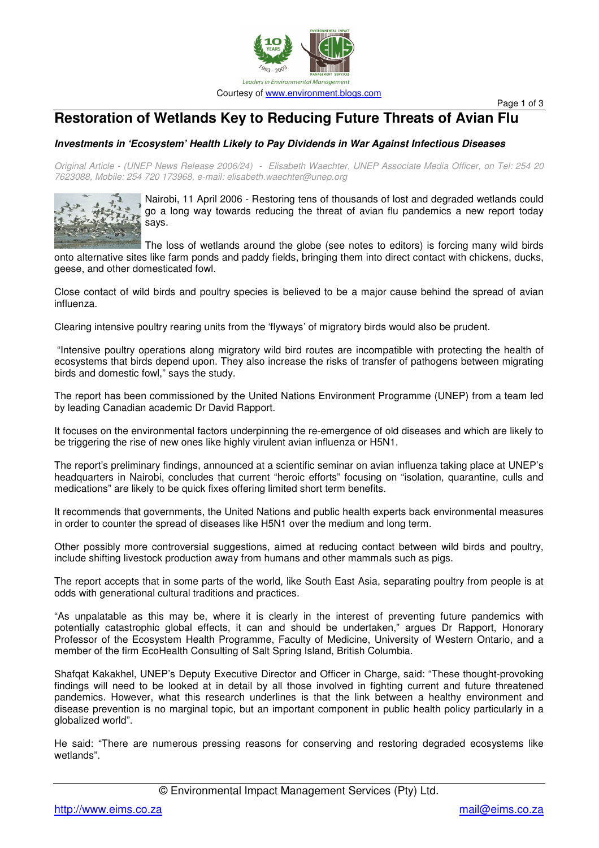

Page 1 of 3

## **Restoration of Wetlands Key to Reducing Future Threats of Avian Flu**

## *Investments in 'Ecosystem' Health Likely to Pay Dividends in War Against Infectious Diseases*

Original Article - (UNEP News Release 2006/24) - Elisabeth Waechter, UNEP Associate Media Officer, on Tel: 254 20 *7623088, Mobile: 254 720 173968, e-mail: elisabeth.waechter@unep.org*



Nairobi, 11 April 2006 - Restoring tens of thousands of lost and degraded wetlands could go a long way towards reducing the threat of avian flu pandemics a new report today says.

The loss of wetlands around the globe (see notes to editors) is forcing many wild birds onto alternative sites like farm ponds and paddy fields, bringing them into direct contact with chickens, ducks, geese, and other domesticated fowl.

Close contact of wild birds and poultry species is believed to be a major cause behind the spread of avian influenza.

Clearing intensive poultry rearing units from the 'flyways' of migratory birds would also be prudent.

"Intensive poultry operations along migratory wild bird routes are incompatible with protecting the health of ecosystems that birds depend upon. They also increase the risks of transfer of pathogens between migrating birds and domestic fowl," says the study.

The report has been commissioned by the United Nations Environment Programme (UNEP) from a team led by leading Canadian academic Dr David Rapport.

It focuses on the environmental factors underpinning the re-emergence of old diseases and which are likely to be triggering the rise of new ones like highly virulent avian influenza or H5N1.

The report's preliminary findings, announced at a scientific seminar on avian influenza taking place at UNEP's headquarters in Nairobi, concludes that current "heroic efforts" focusing on "isolation, quarantine, culls and medications" are likely to be quick fixes offering limited short term benefits.

It recommends that governments, the United Nations and public health experts back environmental measures in order to counter the spread of diseases like H5N1 over the medium and long term.

Other possibly more controversial suggestions, aimed at reducing contact between wild birds and poultry, include shifting livestock production away from humans and other mammals such as pigs.

The report accepts that in some parts of the world, like South East Asia, separating poultry from people is at odds with generational cultural traditions and practices.

"As unpalatable as this may be, where it is clearly in the interest of preventing future pandemics with potentially catastrophic global effects, it can and should be undertaken," argues Dr Rapport, Honorary Professor of the Ecosystem Health Programme, Faculty of Medicine, University of Western Ontario, and a member of the firm EcoHealth Consulting of Salt Spring Island, British Columbia.

Shafqat Kakakhel, UNEP's Deputy Executive Director and Officer in Charge, said: "These thought-provoking findings will need to be looked at in detail by all those involved in fighting current and future threatened pandemics. However, what this research underlines is that the link between a healthy environment and disease prevention is no marginal topic, but an important component in public health policy particularly in a globalized world".

He said: "There are numerous pressing reasons for conserving and restoring degraded ecosystems like wetlands".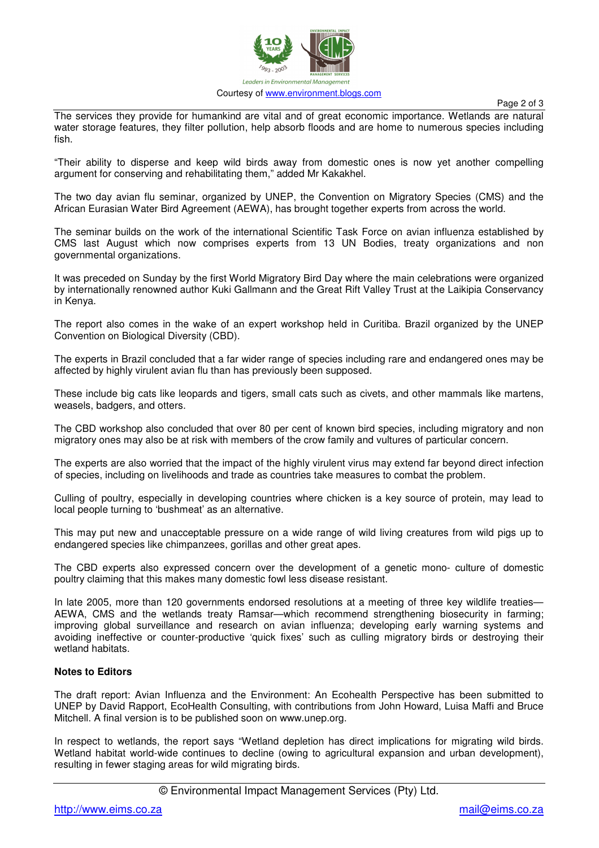

Page 2 of 3

The services they provide for humankind are vital and of great economic importance. Wetlands are natural water storage features, they filter pollution, help absorb floods and are home to numerous species including fish.

"Their ability to disperse and keep wild birds away from domestic ones is now yet another compelling argument for conserving and rehabilitating them," added Mr Kakakhel.

The two day avian flu seminar, organized by UNEP, the Convention on Migratory Species (CMS) and the African Eurasian Water Bird Agreement (AEWA), has brought together experts from across the world.

The seminar builds on the work of the international Scientific Task Force on avian influenza established by CMS last August which now comprises experts from 13 UN Bodies, treaty organizations and non governmental organizations.

It was preceded on Sunday by the first World Migratory Bird Day where the main celebrations were organized by internationally renowned author Kuki Gallmann and the Great Rift Valley Trust at the Laikipia Conservancy in Kenya.

The report also comes in the wake of an expert workshop held in Curitiba. Brazil organized by the UNEP Convention on Biological Diversity (CBD).

The experts in Brazil concluded that a far wider range of species including rare and endangered ones may be affected by highly virulent avian flu than has previously been supposed.

These include big cats like leopards and tigers, small cats such as civets, and other mammals like martens, weasels, badgers, and otters.

The CBD workshop also concluded that over 80 per cent of known bird species, including migratory and non migratory ones may also be at risk with members of the crow family and vultures of particular concern.

The experts are also worried that the impact of the highly virulent virus may extend far beyond direct infection of species, including on livelihoods and trade as countries take measures to combat the problem.

Culling of poultry, especially in developing countries where chicken is a key source of protein, may lead to local people turning to 'bushmeat' as an alternative.

This may put new and unacceptable pressure on a wide range of wild living creatures from wild pigs up to endangered species like chimpanzees, gorillas and other great apes.

The CBD experts also expressed concern over the development of a genetic mono- culture of domestic poultry claiming that this makes many domestic fowl less disease resistant.

In late 2005, more than 120 governments endorsed resolutions at a meeting of three key wildlife treaties— AEWA, CMS and the wetlands treaty Ramsar—which recommend strengthening biosecurity in farming; improving global surveillance and research on avian influenza; developing early warning systems and avoiding ineffective or counter-productive 'quick fixes' such as culling migratory birds or destroying their wetland habitats.

## **Notes to Editors**

The draft report: Avian Influenza and the Environment: An Ecohealth Perspective has been submitted to UNEP by David Rapport, EcoHealth Consulting, with contributions from John Howard, Luisa Maffi and Bruce Mitchell. A final version is to be published soon on www.unep.org.

In respect to wetlands, the report says "Wetland depletion has direct implications for migrating wild birds. Wetland habitat world-wide continues to decline (owing to agricultural expansion and urban development), resulting in fewer staging areas for wild migrating birds.

© Environmental Impact Management Services (Pty) Ltd.